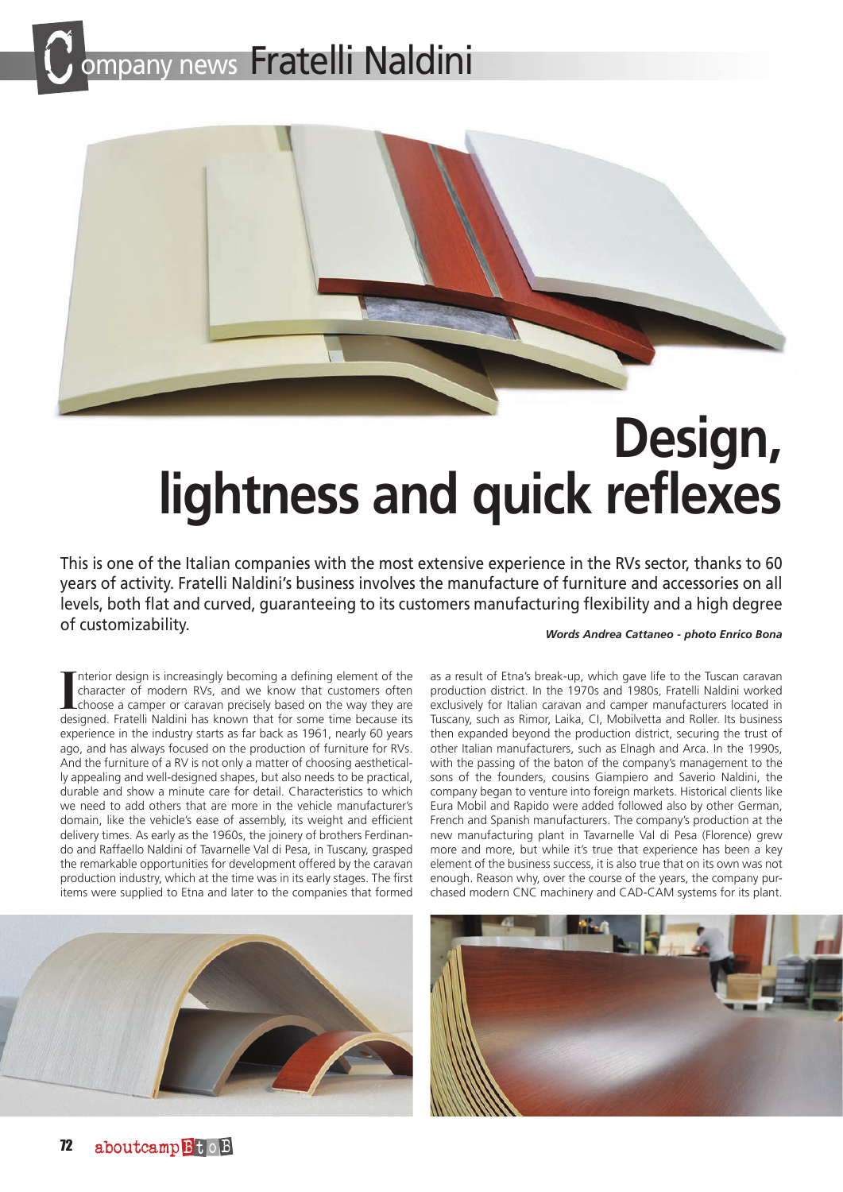## pany news Fratelli Naldini



## **Design, lightness and quick reflexes**

This is one of the Italian companies with the most extensive experience in the RVs sector, thanks to 60 years of activity. Fratelli Naldini's business involves the manufacture of furniture and accessories on all levels, both flat and curved, guaranteeing to its customers manufacturing flexibility and a high degree of customizability.

*Words Andrea Cattaneo - photo Enrico Bona*

Interior design is increasingly becoming a defining element of the character of modern RVs, and we know that customers often choose a camper or caravan precisely based on the way they are designed. Fratelli Naldini has kno nterior design is increasingly becoming a defining element of the character of modern RVs, and we know that customers often choose a camper or caravan precisely based on the way they are experience in the industry starts as far back as 1961, nearly 60 years ago, and has always focused on the production of furniture for RVs. And the furniture of a RV is not only a matter of choosing aesthetically appealing and well-designed shapes, but also needs to be practical, durable and show a minute care for detail. Characteristics to which we need to add others that are more in the vehicle manufacturer's domain, like the vehicle's ease of assembly, its weight and efficient delivery times. As early as the 1960s, the joinery of brothers Ferdinando and Raffaello Naldini of Tavarnelle Val di Pesa, in Tuscany, grasped the remarkable opportunities for development offered by the caravan production industry, which at the time was in its early stages. The first items were supplied to Etna and later to the companies that formed

as a result of Etna's break-up, which gave life to the Tuscan caravan production district. In the 1970s and 1980s, Fratelli Naldini worked exclusively for Italian caravan and camper manufacturers located in Tuscany, such as Rimor, Laika, CI, Mobilvetta and Roller. Its business then expanded beyond the production district, securing the trust of other Italian manufacturers, such as Elnagh and Arca. In the 1990s, with the passing of the baton of the company's management to the sons of the founders, cousins Giampiero and Saverio Naldini, the company began to venture into foreign markets. Historical clients like Eura Mobil and Rapido were added followed also by other German, French and Spanish manufacturers. The company's production at the new manufacturing plant in Tavarnelle Val di Pesa (Florence) grew more and more, but while it's true that experience has been a key element of the business success, it is also true that on its own was not enough. Reason why, over the course of the years, the company purchased modern CNC machinery and CAD-CAM systems for its plant.